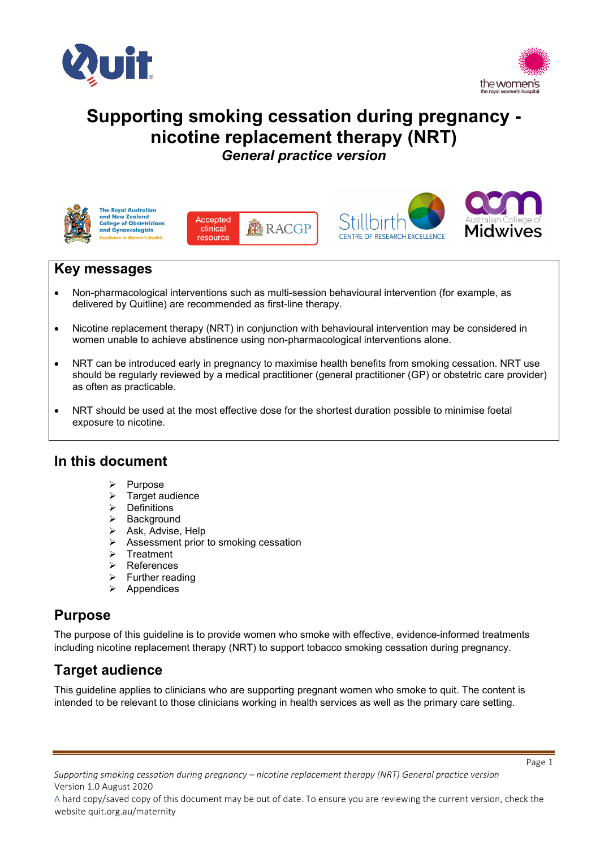



# **Supporting smoking cessation during pregnancy nicotine replacement therapy (NRT)** *General practice version*



**The Royal Australian** and New Zealand **College of Obstetricians**<br>and Gynaecologists







## **Key messages**

- Non-pharmacological interventions such as multi-session behavioural intervention (for example, as delivered by Quitline) are recommended as first-line therapy.
- Nicotine replacement therapy (NRT) in conjunction with behavioural intervention may be considered in women unable to achieve abstinence using non-pharmacological interventions alone.
- NRT can be introduced early in pregnancy to maximise health benefits from smoking cessation. NRT use should be regularly reviewed by a medical practitioner (general practitioner (GP) or obstetric care provider) as often as practicable.
- NRT should be used at the most effective dose for the shortest duration possible to minimise foetal exposure to nicotine.

## **In this document**

- $\triangleright$  Purpose
- $\triangleright$  Target audience
- $\triangleright$  Definitions
- $\triangleright$  Background<br> $\triangleright$  Ask. Advise.
- Ask, Advise, Help
- $\triangleright$  Assessment prior to smoking cessation
- $\triangleright$  Treatment
- References
- $\triangleright$  Further reading
- $\triangleright$  Appendices

## **Purpose**

The purpose of this guideline is to provide women who smoke with effective, evidence-informed treatments including nicotine replacement therapy (NRT) to support tobacco smoking cessation during pregnancy.

# **Target audience**

This guideline applies to clinicians who are supporting pregnant women who smoke to quit. The content is intended to be relevant to those clinicians working in health services as well as the primary care setting.

A hard copy/saved copy of this document may be out of date. To ensure you are reviewing the current version, check the website quit.org.au/maternity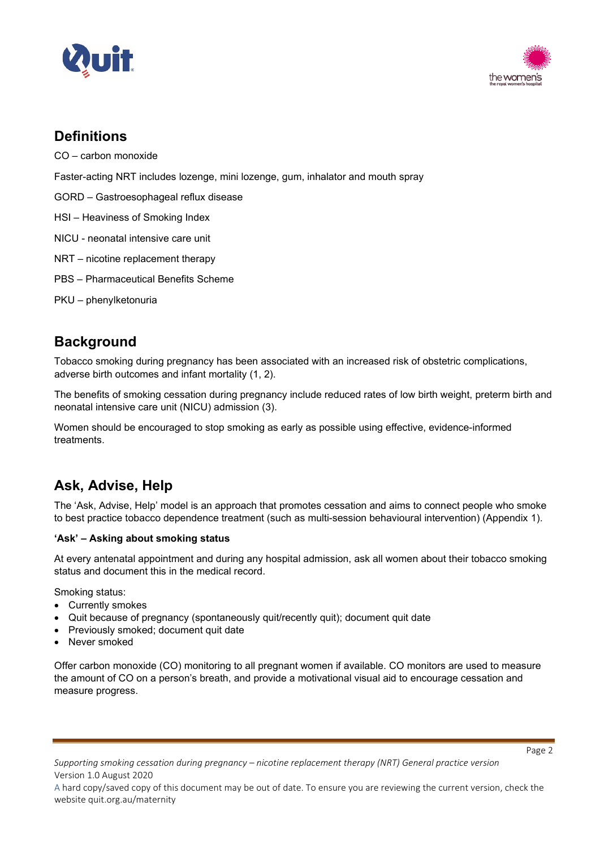



## **Definitions**

CO – carbon monoxide

Faster-acting NRT includes lozenge, mini lozenge, gum, inhalator and mouth spray

- GORD Gastroesophageal reflux disease
- HSI Heaviness of Smoking Index
- NICU neonatal intensive care unit
- NRT nicotine replacement therapy
- PBS Pharmaceutical Benefits Scheme
- PKU phenylketonuria

## **Background**

Tobacco smoking during pregnancy has been associated with an increased risk of obstetric complications, adverse birth outcomes and infant mortality (1, 2).

The benefits of smoking cessation during pregnancy include reduced rates of low birth weight, preterm birth and neonatal intensive care unit (NICU) admission (3).

Women should be encouraged to stop smoking as early as possible using effective, evidence-informed treatments.

# **Ask, Advise, Help**

The 'Ask, Advise, Help' model is an approach that promotes cessation and aims to connect people who smoke to best practice tobacco dependence treatment (such as multi-session behavioural intervention) (Appendix 1).

### **'Ask' – Asking about smoking status**

At every antenatal appointment and during any hospital admission, ask all women about their tobacco smoking status and document this in the medical record.

Smoking status:

- Currently smokes
- Quit because of pregnancy (spontaneously quit/recently quit); document quit date
- Previously smoked; document quit date
- Never smoked

Offer carbon monoxide (CO) monitoring to all pregnant women if available. CO monitors are used to measure the amount of CO on a person's breath, and provide a motivational visual aid to encourage cessation and measure progress.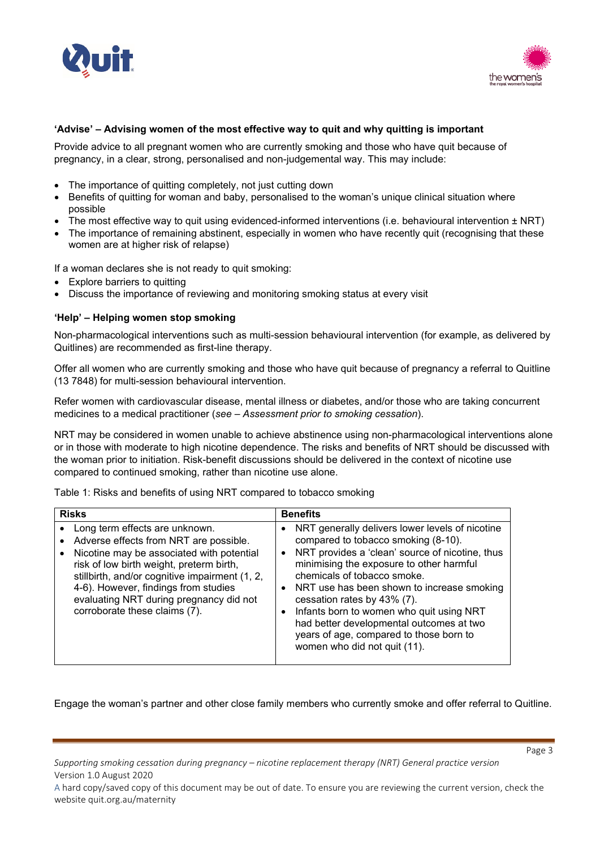



### **'Advise' – Advising women of the most effective way to quit and why quitting is important**

Provide advice to all pregnant women who are currently smoking and those who have quit because of pregnancy, in a clear, strong, personalised and non-judgemental way. This may include:

- The importance of quitting completely, not just cutting down
- Benefits of quitting for woman and baby, personalised to the woman's unique clinical situation where possible
- The most effective way to quit using evidenced-informed interventions (i.e. behavioural intervention  $\pm$  NRT)
- The importance of remaining abstinent, especially in women who have recently quit (recognising that these women are at higher risk of relapse)

If a woman declares she is not ready to quit smoking:

- **Explore barriers to quitting**
- Discuss the importance of reviewing and monitoring smoking status at every visit

### **'Help' – Helping women stop smoking**

Non-pharmacological interventions such as multi-session behavioural intervention (for example, as delivered by Quitlines) are recommended as first-line therapy.

Offer all women who are currently smoking and those who have quit because of pregnancy a referral to Quitline (13 7848) for multi-session behavioural intervention.

Refer women with cardiovascular disease, mental illness or diabetes, and/or those who are taking concurrent medicines to a medical practitioner (*see – Assessment prior to smoking cessation*).

NRT may be considered in women unable to achieve abstinence using non-pharmacological interventions alone or in those with moderate to high nicotine dependence. The risks and benefits of NRT should be discussed with the woman prior to initiation. Risk-benefit discussions should be delivered in the context of nicotine use compared to continued smoking, rather than nicotine use alone.

Table 1: Risks and benefits of using NRT compared to tobacco smoking

| <b>Risks</b>                                                                                                                                                                                                                                                                                                                                         | <b>Benefits</b>                                                                                                                                                                                                                                                                                                                                                                                                                                                                                                          |
|------------------------------------------------------------------------------------------------------------------------------------------------------------------------------------------------------------------------------------------------------------------------------------------------------------------------------------------------------|--------------------------------------------------------------------------------------------------------------------------------------------------------------------------------------------------------------------------------------------------------------------------------------------------------------------------------------------------------------------------------------------------------------------------------------------------------------------------------------------------------------------------|
| Long term effects are unknown.<br>Adverse effects from NRT are possible.<br>$\bullet$<br>Nicotine may be associated with potential<br>risk of low birth weight, preterm birth,<br>stillbirth, and/or cognitive impairment (1, 2,<br>4-6). However, findings from studies<br>evaluating NRT during pregnancy did not<br>corroborate these claims (7). | NRT generally delivers lower levels of nicotine<br>$\bullet$<br>compared to tobacco smoking (8-10).<br>NRT provides a 'clean' source of nicotine, thus<br>$\bullet$<br>minimising the exposure to other harmful<br>chemicals of tobacco smoke.<br>NRT use has been shown to increase smoking<br>$\bullet$<br>cessation rates by 43% (7).<br>Infants born to women who quit using NRT<br>$\bullet$<br>had better developmental outcomes at two<br>years of age, compared to those born to<br>women who did not quit (11). |

Engage the woman's partner and other close family members who currently smoke and offer referral to Quitline.

*Supporting smoking cessation during pregnancy – nicotine replacement therapy (NRT) General practice version* Version 1.0 August 2020

A hard copy/saved copy of this document may be out of date. To ensure you are reviewing the current version, check the website quit.org.au/maternity

Page 3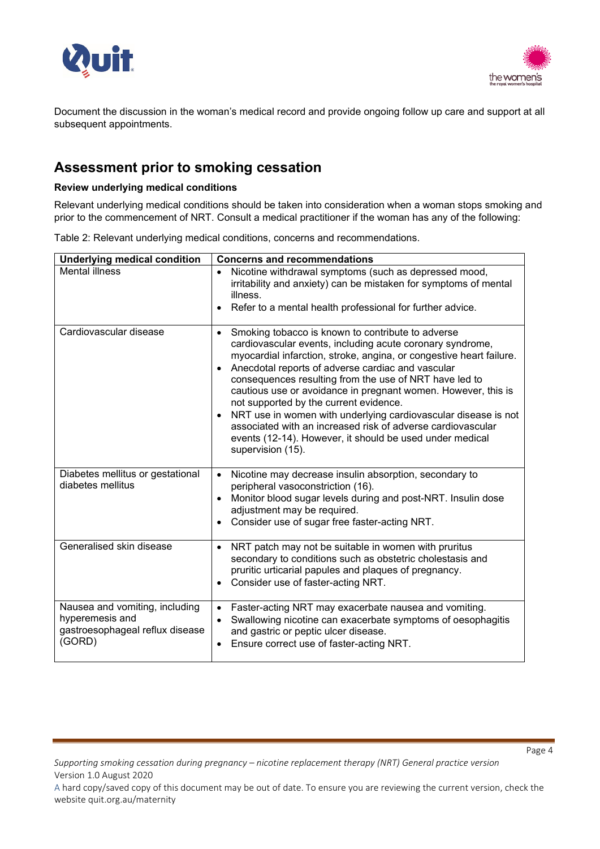



Document the discussion in the woman's medical record and provide ongoing follow up care and support at all subsequent appointments.

## **Assessment prior to smoking cessation**

### **Review underlying medical conditions**

Relevant underlying medical conditions should be taken into consideration when a woman stops smoking and prior to the commencement of NRT. Consult a medical practitioner if the woman has any of the following:

Table 2: Relevant underlying medical conditions, concerns and recommendations.

| <b>Underlying medical condition</b>                                                            | <b>Concerns and recommendations</b>                                                                                                                                                                                                                                                                                                                                                                                                                                                                                                                                                                                                                                      |
|------------------------------------------------------------------------------------------------|--------------------------------------------------------------------------------------------------------------------------------------------------------------------------------------------------------------------------------------------------------------------------------------------------------------------------------------------------------------------------------------------------------------------------------------------------------------------------------------------------------------------------------------------------------------------------------------------------------------------------------------------------------------------------|
| <b>Mental illness</b>                                                                          | Nicotine withdrawal symptoms (such as depressed mood,<br>irritability and anxiety) can be mistaken for symptoms of mental<br>illness.<br>Refer to a mental health professional for further advice.                                                                                                                                                                                                                                                                                                                                                                                                                                                                       |
| Cardiovascular disease                                                                         | Smoking tobacco is known to contribute to adverse<br>$\bullet$<br>cardiovascular events, including acute coronary syndrome,<br>myocardial infarction, stroke, angina, or congestive heart failure.<br>Anecdotal reports of adverse cardiac and vascular<br>$\bullet$<br>consequences resulting from the use of NRT have led to<br>cautious use or avoidance in pregnant women. However, this is<br>not supported by the current evidence.<br>NRT use in women with underlying cardiovascular disease is not<br>$\bullet$<br>associated with an increased risk of adverse cardiovascular<br>events (12-14). However, it should be used under medical<br>supervision (15). |
| Diabetes mellitus or gestational<br>diabetes mellitus                                          | Nicotine may decrease insulin absorption, secondary to<br>peripheral vasoconstriction (16).<br>Monitor blood sugar levels during and post-NRT. Insulin dose<br>$\bullet$<br>adjustment may be required.<br>Consider use of sugar free faster-acting NRT.                                                                                                                                                                                                                                                                                                                                                                                                                 |
| Generalised skin disease                                                                       | NRT patch may not be suitable in women with pruritus<br>secondary to conditions such as obstetric cholestasis and<br>pruritic urticarial papules and plaques of pregnancy.<br>Consider use of faster-acting NRT.<br>$\bullet$                                                                                                                                                                                                                                                                                                                                                                                                                                            |
| Nausea and vomiting, including<br>hyperemesis and<br>gastroesophageal reflux disease<br>(GORD) | Faster-acting NRT may exacerbate nausea and vomiting.<br>$\bullet$<br>Swallowing nicotine can exacerbate symptoms of oesophagitis<br>$\bullet$<br>and gastric or peptic ulcer disease.<br>Ensure correct use of faster-acting NRT.                                                                                                                                                                                                                                                                                                                                                                                                                                       |

*Supporting smoking cessation during pregnancy – nicotine replacement therapy (NRT) General practice version* Version 1.0 August 2020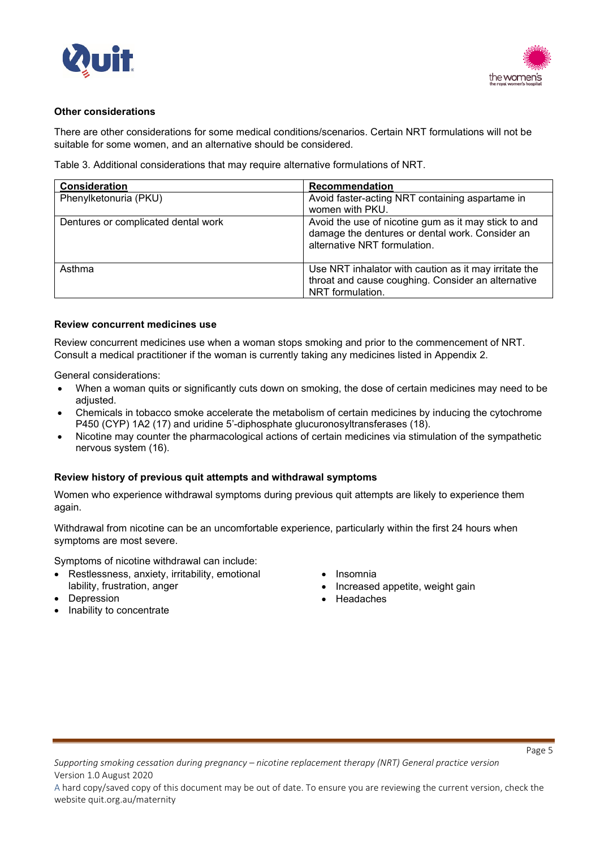



### **Other considerations**

There are other considerations for some medical conditions/scenarios. Certain NRT formulations will not be suitable for some women, and an alternative should be considered.

Table 3. Additional considerations that may require alternative formulations of NRT.

| Consideration                       | Recommendation                                                                                                                          |
|-------------------------------------|-----------------------------------------------------------------------------------------------------------------------------------------|
| Phenylketonuria (PKU)               | Avoid faster-acting NRT containing aspartame in<br>women with PKU.                                                                      |
| Dentures or complicated dental work | Avoid the use of nicotine gum as it may stick to and<br>damage the dentures or dental work. Consider an<br>alternative NRT formulation. |
| Asthma                              | Use NRT inhalator with caution as it may irritate the<br>throat and cause coughing. Consider an alternative<br>NRT formulation.         |

#### **Review concurrent medicines use**

Review concurrent medicines use when a woman stops smoking and prior to the commencement of NRT. Consult a medical practitioner if the woman is currently taking any medicines listed in Appendix 2.

General considerations:

- When a woman quits or significantly cuts down on smoking, the dose of certain medicines may need to be adjusted.
- Chemicals in tobacco smoke accelerate the metabolism of certain medicines by inducing the cytochrome P450 (CYP) 1A2 (17) and uridine 5'-diphosphate glucuronosyltransferases (18).
- Nicotine may counter the pharmacological actions of certain medicines via stimulation of the sympathetic nervous system (16).

#### **Review history of previous quit attempts and withdrawal symptoms**

Women who experience withdrawal symptoms during previous quit attempts are likely to experience them again.

Withdrawal from nicotine can be an uncomfortable experience, particularly within the first 24 hours when symptoms are most severe.

Symptoms of nicotine withdrawal can include:

- Restlessness, anxiety, irritability, emotional lability, frustration, anger
- **Depression**
- Inability to concentrate
- Insomnia
- Increased appetite, weight gain
- Headaches

*Supporting smoking cessation during pregnancy – nicotine replacement therapy (NRT) General practice version* Version 1.0 August 2020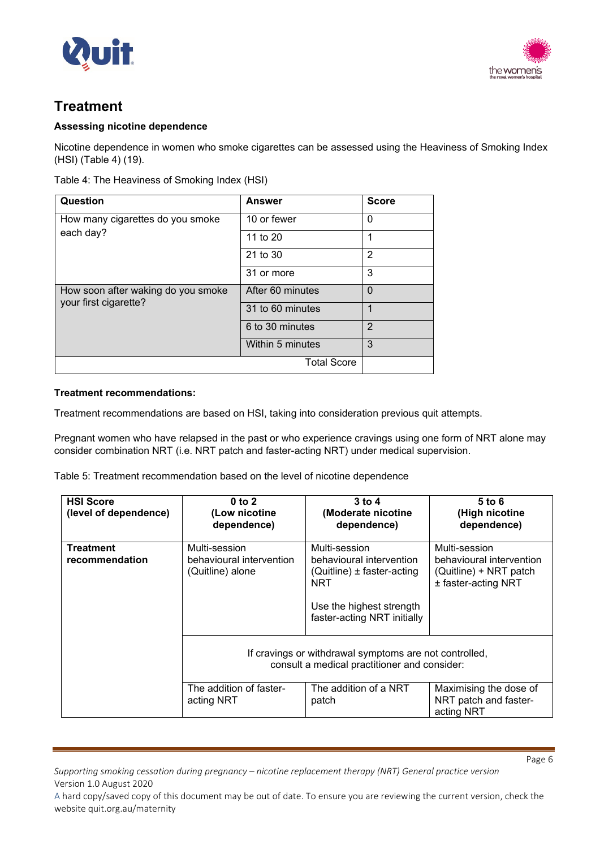



# **Treatment**

## **Assessing nicotine dependence**

Nicotine dependence in women who smoke cigarettes can be assessed using the Heaviness of Smoking Index (HSI) (Table 4) (19).

|  | Table 4: The Heaviness of Smoking Index (HSI) |  |
|--|-----------------------------------------------|--|

| Question                                                    | <b>Answer</b>      | <b>Score</b>   |
|-------------------------------------------------------------|--------------------|----------------|
| How many cigarettes do you smoke                            | 10 or fewer        | 0              |
| each day?                                                   | 11 to 20           | 1              |
|                                                             | 21 to 30           | 2              |
|                                                             | 31 or more         | 3              |
| How soon after waking do you smoke<br>your first cigarette? | After 60 minutes   | $\Omega$       |
|                                                             | 31 to 60 minutes   | 1              |
|                                                             | 6 to 30 minutes    | $\overline{2}$ |
|                                                             | Within 5 minutes   | 3              |
|                                                             | <b>Total Score</b> |                |

### **Treatment recommendations:**

Treatment recommendations are based on HSI, taking into consideration previous quit attempts.

Pregnant women who have relapsed in the past or who experience cravings using one form of NRT alone may consider combination NRT (i.e. NRT patch and faster-acting NRT) under medical supervision.

Table 5: Treatment recommendation based on the level of nicotine dependence

| <b>HSI Score</b><br>(level of dependence) | $0$ to $2$<br>(Low nicotine<br>dependence)                    | $3$ to 4<br>(Moderate nicotine<br>dependence)                                                                                                  | 5 to 6<br>(High nicotine<br>dependence)                                                    |
|-------------------------------------------|---------------------------------------------------------------|------------------------------------------------------------------------------------------------------------------------------------------------|--------------------------------------------------------------------------------------------|
| <b>Treatment</b><br>recommendation        | Multi-session<br>behavioural intervention<br>(Quitline) alone | Multi-session<br>behavioural intervention<br>$(Quitline) \pm faster\-acting$<br>NRT<br>Use the highest strength<br>faster-acting NRT initially | Multi-session<br>behavioural intervention<br>(Quitline) + NRT patch<br>± faster-acting NRT |
|                                           |                                                               | If cravings or withdrawal symptoms are not controlled,<br>consult a medical practitioner and consider:                                         |                                                                                            |
|                                           | The addition of faster-<br>acting NRT                         | The addition of a NRT<br>patch                                                                                                                 | Maximising the dose of<br>NRT patch and faster-<br>acting NRT                              |

*Supporting smoking cessation during pregnancy – nicotine replacement therapy (NRT) General practice version* Version 1.0 August 2020

Page 6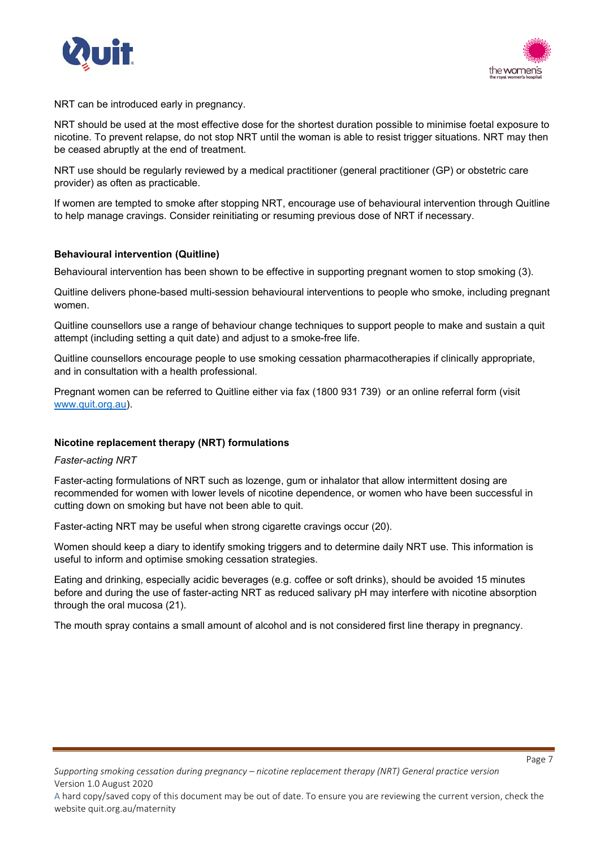



NRT can be introduced early in pregnancy.

NRT should be used at the most effective dose for the shortest duration possible to minimise foetal exposure to nicotine. To prevent relapse, do not stop NRT until the woman is able to resist trigger situations. NRT may then be ceased abruptly at the end of treatment.

NRT use should be regularly reviewed by a medical practitioner (general practitioner (GP) or obstetric care provider) as often as practicable.

If women are tempted to smoke after stopping NRT, encourage use of behavioural intervention through Quitline to help manage cravings. Consider reinitiating or resuming previous dose of NRT if necessary.

#### **Behavioural intervention (Quitline)**

Behavioural intervention has been shown to be effective in supporting pregnant women to stop smoking (3).

Quitline delivers phone-based multi-session behavioural interventions to people who smoke, including pregnant women.

Quitline counsellors use a range of behaviour change techniques to support people to make and sustain a quit attempt (including setting a quit date) and adjust to a smoke-free life.

Quitline counsellors encourage people to use smoking cessation pharmacotherapies if clinically appropriate, and in consultation with a health professional.

Pregnant women can be referred to Quitline either via fax (1800 931 739) or an online referral form (visit [www.quit.org.au\)](http://www.quit.org.au/).

#### **Nicotine replacement therapy (NRT) formulations**

*Faster-acting NRT* 

Faster-acting formulations of NRT such as lozenge, gum or inhalator that allow intermittent dosing are recommended for women with lower levels of nicotine dependence, or women who have been successful in cutting down on smoking but have not been able to quit.

Faster-acting NRT may be useful when strong cigarette cravings occur (20).

Women should keep a diary to identify smoking triggers and to determine daily NRT use. This information is useful to inform and optimise smoking cessation strategies.

Eating and drinking, especially acidic beverages (e.g. coffee or soft drinks), should be avoided 15 minutes before and during the use of faster-acting NRT as reduced salivary pH may interfere with nicotine absorption through the oral mucosa (21).

The mouth spray contains a small amount of alcohol and is not considered first line therapy in pregnancy.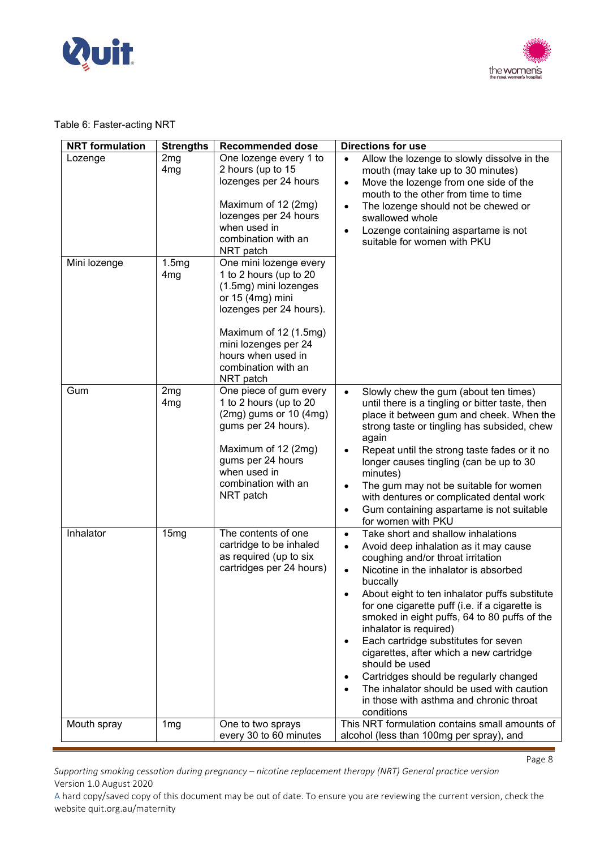



## Table 6: Faster-acting NRT

| <b>NRT</b> formulation | <b>Strengths</b>                   | <b>Recommended dose</b>                                                                                                                                                                                                             | <b>Directions for use</b>                                                                                                                                                                                                                                                                                                                                                                                                                                                                                                                                                                                                                      |
|------------------------|------------------------------------|-------------------------------------------------------------------------------------------------------------------------------------------------------------------------------------------------------------------------------------|------------------------------------------------------------------------------------------------------------------------------------------------------------------------------------------------------------------------------------------------------------------------------------------------------------------------------------------------------------------------------------------------------------------------------------------------------------------------------------------------------------------------------------------------------------------------------------------------------------------------------------------------|
| Lozenge                | 2 <sub>mg</sub><br>4 <sub>mg</sub> | One lozenge every 1 to<br>2 hours (up to 15<br>lozenges per 24 hours<br>Maximum of 12 (2mg)<br>lozenges per 24 hours<br>when used in<br>combination with an<br>NRT patch                                                            | Allow the lozenge to slowly dissolve in the<br>mouth (may take up to 30 minutes)<br>Move the lozenge from one side of the<br>$\bullet$<br>mouth to the other from time to time<br>The lozenge should not be chewed or<br>$\bullet$<br>swallowed whole<br>Lozenge containing aspartame is not<br>$\bullet$<br>suitable for women with PKU                                                                                                                                                                                                                                                                                                       |
| Mini lozenge           | 1.5mg<br>4 <sub>mg</sub>           | One mini lozenge every<br>1 to 2 hours (up to 20<br>(1.5mg) mini lozenges<br>or 15 (4mg) mini<br>lozenges per 24 hours).<br>Maximum of 12 (1.5mg)<br>mini lozenges per 24<br>hours when used in<br>combination with an<br>NRT patch |                                                                                                                                                                                                                                                                                                                                                                                                                                                                                                                                                                                                                                                |
| Gum                    | 2 <sub>mg</sub><br>4 <sub>mg</sub> | One piece of gum every<br>1 to 2 hours (up to 20<br>$(2mg)$ gums or 10 $(4mg)$<br>gums per 24 hours).<br>Maximum of 12 (2mg)<br>gums per 24 hours<br>when used in<br>combination with an<br>NRT patch                               | Slowly chew the gum (about ten times)<br>$\bullet$<br>until there is a tingling or bitter taste, then<br>place it between gum and cheek. When the<br>strong taste or tingling has subsided, chew<br>again<br>Repeat until the strong taste fades or it no<br>$\bullet$<br>longer causes tingling (can be up to 30<br>minutes)<br>The gum may not be suitable for women<br>$\bullet$<br>with dentures or complicated dental work<br>Gum containing aspartame is not suitable<br>$\bullet$<br>for women with PKU                                                                                                                                 |
| Inhalator              | 15mg                               | The contents of one<br>cartridge to be inhaled<br>as required (up to six<br>cartridges per 24 hours)                                                                                                                                | Take short and shallow inhalations<br>$\bullet$<br>Avoid deep inhalation as it may cause<br>$\bullet$<br>coughing and/or throat irritation<br>Nicotine in the inhalator is absorbed<br>$\bullet$<br>buccally<br>About eight to ten inhalator puffs substitute<br>for one cigarette puff (i.e. if a cigarette is<br>smoked in eight puffs, 64 to 80 puffs of the<br>inhalator is required)<br>Each cartridge substitutes for seven<br>cigarettes, after which a new cartridge<br>should be used<br>Cartridges should be regularly changed<br>The inhalator should be used with caution<br>in those with asthma and chronic throat<br>conditions |
| Mouth spray            | 1 <sub>mg</sub>                    | One to two sprays<br>every 30 to 60 minutes                                                                                                                                                                                         | This NRT formulation contains small amounts of<br>alcohol (less than 100mg per spray), and                                                                                                                                                                                                                                                                                                                                                                                                                                                                                                                                                     |

*Supporting smoking cessation during pregnancy – nicotine replacement therapy (NRT) General practice version* Version 1.0 August 2020

Page 8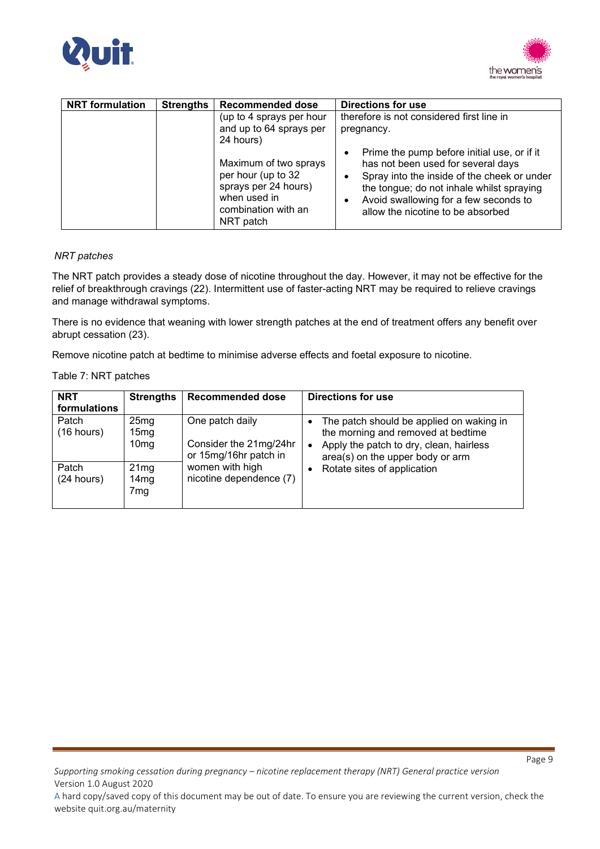



| <b>NRT</b> formulation | <b>Strengths</b> | <b>Recommended dose</b><br><b>Directions for use</b>                                                                    |                                                                                                                                                                                                                                                             |
|------------------------|------------------|-------------------------------------------------------------------------------------------------------------------------|-------------------------------------------------------------------------------------------------------------------------------------------------------------------------------------------------------------------------------------------------------------|
|                        |                  | (up to 4 sprays per hour<br>and up to 64 sprays per<br>24 hours)                                                        | therefore is not considered first line in<br>pregnancy.                                                                                                                                                                                                     |
|                        |                  | Maximum of two sprays<br>per hour (up to 32<br>sprays per 24 hours)<br>when used in<br>combination with an<br>NRT patch | Prime the pump before initial use, or if it<br>has not been used for several days<br>Spray into the inside of the cheek or under<br>the tongue; do not inhale whilst spraying<br>Avoid swallowing for a few seconds to<br>allow the nicotine to be absorbed |

### *NRT patches*

The NRT patch provides a steady dose of nicotine throughout the day. However, it may not be effective for the relief of breakthrough cravings (22). Intermittent use of faster-acting NRT may be required to relieve cravings and manage withdrawal symptoms.

There is no evidence that weaning with lower strength patches at the end of treatment offers any benefit over abrupt cessation (23).

Remove nicotine patch at bedtime to minimise adverse effects and foetal exposure to nicotine.

#### Table 7: NRT patches

| <b>NRT</b><br>formulations | <b>Strengths</b>                                         | <b>Recommended dose</b>                                            | Directions for use                                                                                                                                            |
|----------------------------|----------------------------------------------------------|--------------------------------------------------------------------|---------------------------------------------------------------------------------------------------------------------------------------------------------------|
| Patch<br>(16 hours)        | 25 <sub>mg</sub><br>15 <sub>mg</sub><br>10 <sub>mg</sub> | One patch daily<br>Consider the 21mg/24hr<br>or 15mg/16hr patch in | The patch should be applied on waking in<br>the morning and removed at bedtime<br>Apply the patch to dry, clean, hairless<br>area(s) on the upper body or arm |
| Patch<br>(24 hours)        | 21mg<br>14mg<br>7mg                                      | women with high<br>nicotine dependence (7)                         | Rotate sites of application                                                                                                                                   |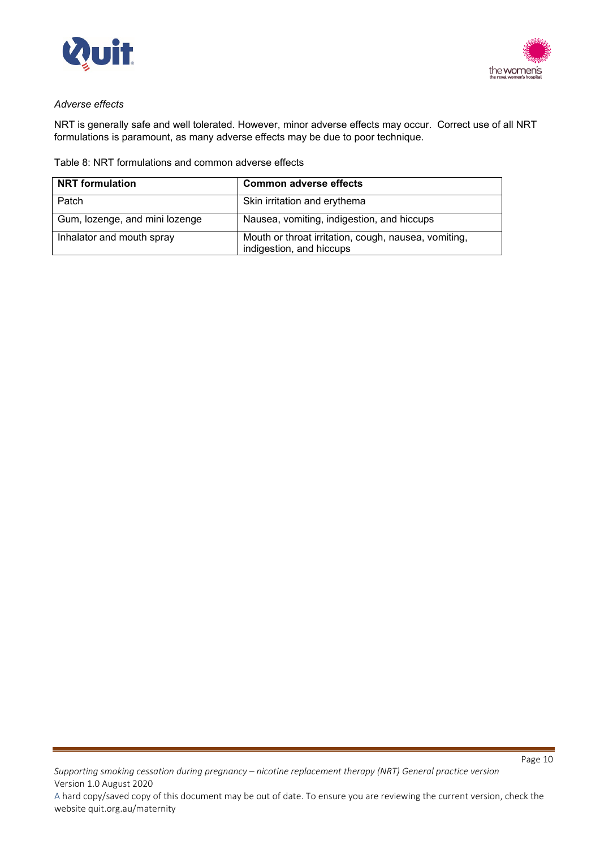



### *Adverse effects*

NRT is generally safe and well tolerated. However, minor adverse effects may occur. Correct use of all NRT formulations is paramount, as many adverse effects may be due to poor technique.

### Table 8: NRT formulations and common adverse effects

| <b>NRT</b> formulation         | <b>Common adverse effects</b>                                                    |
|--------------------------------|----------------------------------------------------------------------------------|
| Patch                          | Skin irritation and erythema                                                     |
| Gum, lozenge, and mini lozenge | Nausea, vomiting, indigestion, and hiccups                                       |
| Inhalator and mouth spray      | Mouth or throat irritation, cough, nausea, vomiting,<br>indigestion, and hiccups |

*Supporting smoking cessation during pregnancy – nicotine replacement therapy (NRT) General practice version* Version 1.0 August 2020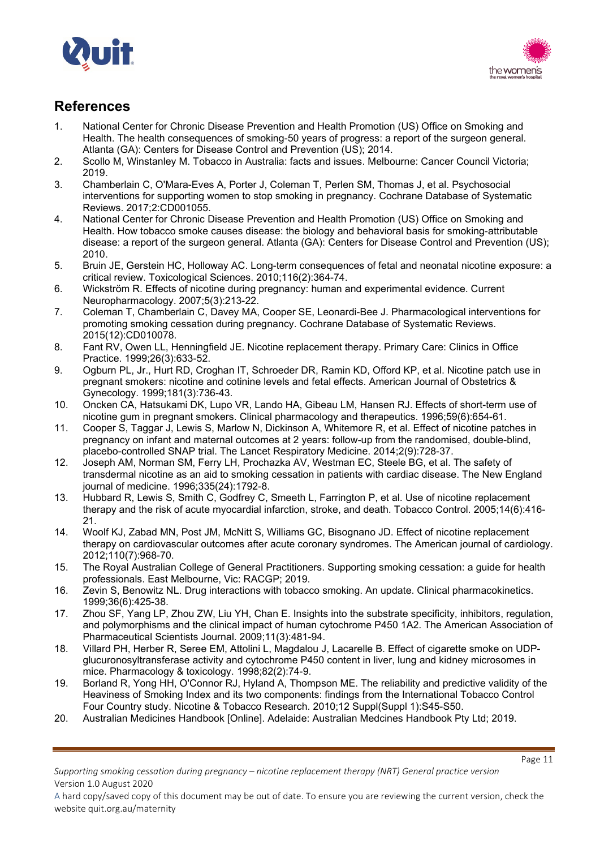



# **References**

- 1. National Center for Chronic Disease Prevention and Health Promotion (US) Office on Smoking and Health. The health consequences of smoking-50 years of progress: a report of the surgeon general. Atlanta (GA): Centers for Disease Control and Prevention (US); 2014.
- 2. Scollo M, Winstanley M. Tobacco in Australia: facts and issues. Melbourne: Cancer Council Victoria; 2019.
- 3. Chamberlain C, O'Mara-Eves A, Porter J, Coleman T, Perlen SM, Thomas J, et al. Psychosocial interventions for supporting women to stop smoking in pregnancy. Cochrane Database of Systematic Reviews. 2017;2:CD001055.
- 4. National Center for Chronic Disease Prevention and Health Promotion (US) Office on Smoking and Health. How tobacco smoke causes disease: the biology and behavioral basis for smoking-attributable disease: a report of the surgeon general. Atlanta (GA): Centers for Disease Control and Prevention (US); 2010.
- 5. Bruin JE, Gerstein HC, Holloway AC. Long-term consequences of fetal and neonatal nicotine exposure: a critical review. Toxicological Sciences. 2010;116(2):364-74.
- 6. Wickström R. Effects of nicotine during pregnancy: human and experimental evidence. Current Neuropharmacology. 2007;5(3):213-22.
- 7. Coleman T, Chamberlain C, Davey MA, Cooper SE, Leonardi-Bee J. Pharmacological interventions for promoting smoking cessation during pregnancy. Cochrane Database of Systematic Reviews. 2015(12):CD010078.
- 8. Fant RV, Owen LL, Henningfield JE. Nicotine replacement therapy. Primary Care: Clinics in Office Practice. 1999;26(3):633-52.
- 9. Ogburn PL, Jr., Hurt RD, Croghan IT, Schroeder DR, Ramin KD, Offord KP, et al. Nicotine patch use in pregnant smokers: nicotine and cotinine levels and fetal effects. American Journal of Obstetrics & Gynecology. 1999;181(3):736-43.
- 10. Oncken CA, Hatsukami DK, Lupo VR, Lando HA, Gibeau LM, Hansen RJ. Effects of short-term use of nicotine gum in pregnant smokers. Clinical pharmacology and therapeutics. 1996;59(6):654-61.
- 11. Cooper S, Taggar J, Lewis S, Marlow N, Dickinson A, Whitemore R, et al. Effect of nicotine patches in pregnancy on infant and maternal outcomes at 2 years: follow-up from the randomised, double-blind, placebo-controlled SNAP trial. The Lancet Respiratory Medicine. 2014;2(9):728-37.
- 12. Joseph AM, Norman SM, Ferry LH, Prochazka AV, Westman EC, Steele BG, et al. The safety of transdermal nicotine as an aid to smoking cessation in patients with cardiac disease. The New England journal of medicine. 1996;335(24):1792-8.
- 13. Hubbard R, Lewis S, Smith C, Godfrey C, Smeeth L, Farrington P, et al. Use of nicotine replacement therapy and the risk of acute myocardial infarction, stroke, and death. Tobacco Control. 2005;14(6):416- 21.
- 14. Woolf KJ, Zabad MN, Post JM, McNitt S, Williams GC, Bisognano JD. Effect of nicotine replacement therapy on cardiovascular outcomes after acute coronary syndromes. The American journal of cardiology. 2012;110(7):968-70.
- 15. The Royal Australian College of General Practitioners. Supporting smoking cessation: a guide for health professionals. East Melbourne, Vic: RACGP; 2019.
- 16. Zevin S, Benowitz NL. Drug interactions with tobacco smoking. An update. Clinical pharmacokinetics. 1999;36(6):425-38.
- 17. Zhou SF, Yang LP, Zhou ZW, Liu YH, Chan E. Insights into the substrate specificity, inhibitors, regulation, and polymorphisms and the clinical impact of human cytochrome P450 1A2. The American Association of Pharmaceutical Scientists Journal. 2009;11(3):481-94.
- 18. Villard PH, Herber R, Seree EM, Attolini L, Magdalou J, Lacarelle B. Effect of cigarette smoke on UDPglucuronosyltransferase activity and cytochrome P450 content in liver, lung and kidney microsomes in mice. Pharmacology & toxicology. 1998;82(2):74-9.
- 19. Borland R, Yong HH, O'Connor RJ, Hyland A, Thompson ME. The reliability and predictive validity of the Heaviness of Smoking Index and its two components: findings from the International Tobacco Control Four Country study. Nicotine & Tobacco Research. 2010;12 Suppl(Suppl 1):S45-S50.
- 20. Australian Medicines Handbook [Online]. Adelaide: Australian Medcines Handbook Pty Ltd; 2019.

A hard copy/saved copy of this document may be out of date. To ensure you are reviewing the current version, check the website quit.org.au/maternity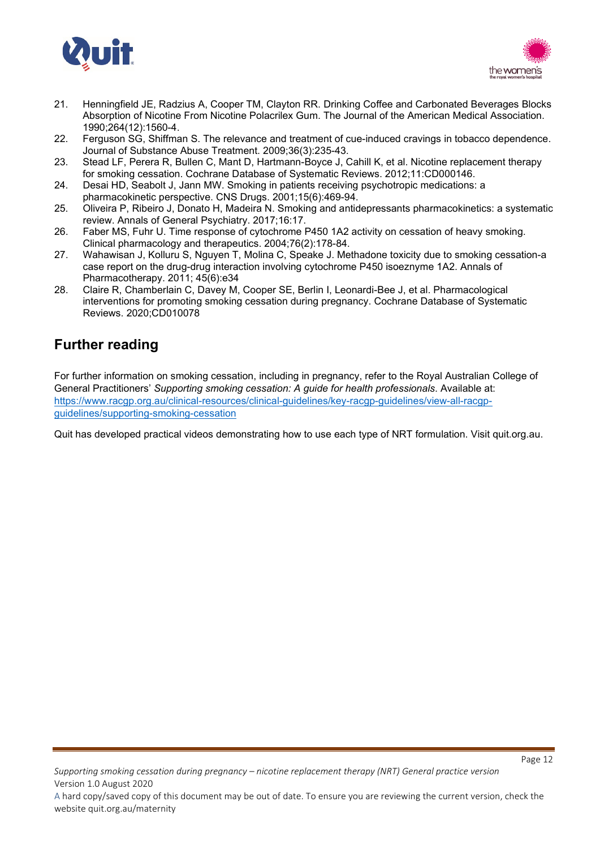



- 21. Henningfield JE, Radzius A, Cooper TM, Clayton RR. Drinking Coffee and Carbonated Beverages Blocks Absorption of Nicotine From Nicotine Polacrilex Gum. The Journal of the American Medical Association. 1990;264(12):1560-4.
- 22. Ferguson SG, Shiffman S. The relevance and treatment of cue-induced cravings in tobacco dependence. Journal of Substance Abuse Treatment. 2009;36(3):235-43.
- 23. Stead LF, Perera R, Bullen C, Mant D, Hartmann-Boyce J, Cahill K, et al. Nicotine replacement therapy for smoking cessation. Cochrane Database of Systematic Reviews. 2012;11:CD000146.
- 24. Desai HD, Seabolt J, Jann MW. Smoking in patients receiving psychotropic medications: a pharmacokinetic perspective. CNS Drugs. 2001;15(6):469-94.
- 25. Oliveira P, Ribeiro J, Donato H, Madeira N. Smoking and antidepressants pharmacokinetics: a systematic review. Annals of General Psychiatry. 2017;16:17.
- 26. Faber MS, Fuhr U. Time response of cytochrome P450 1A2 activity on cessation of heavy smoking. Clinical pharmacology and therapeutics. 2004;76(2):178-84.
- 27. Wahawisan J, Kolluru S, Nguyen T, Molina C, Speake J. Methadone toxicity due to smoking cessation-a case report on the drug-drug interaction involving cytochrome P450 isoeznyme 1A2. Annals of Pharmacotherapy. 2011; 45(6):e34
- 28. Claire R, Chamberlain C, Davey M, Cooper SE, Berlin I, Leonardi-Bee J, et al. Pharmacological interventions for promoting smoking cessation during pregnancy. Cochrane Database of Systematic Reviews. 2020;CD010078

# **Further reading**

For further information on smoking cessation, including in pregnancy, refer to the Royal Australian College of General Practitioners' *Supporting smoking cessation: A guide for health professionals*. Available at: [https://www.racgp.org.au/clinical-resources/clinical-guidelines/key-racgp-guidelines/view-all-racgp](https://www.racgp.org.au/clinical-resources/clinical-guidelines/key-racgp-guidelines/view-all-racgp-guidelines/supporting-smoking-cessation)[guidelines/supporting-smoking-cessation](https://www.racgp.org.au/clinical-resources/clinical-guidelines/key-racgp-guidelines/view-all-racgp-guidelines/supporting-smoking-cessation)

Quit has developed practical videos demonstrating how to use each type of NRT formulation. Visit quit.org.au.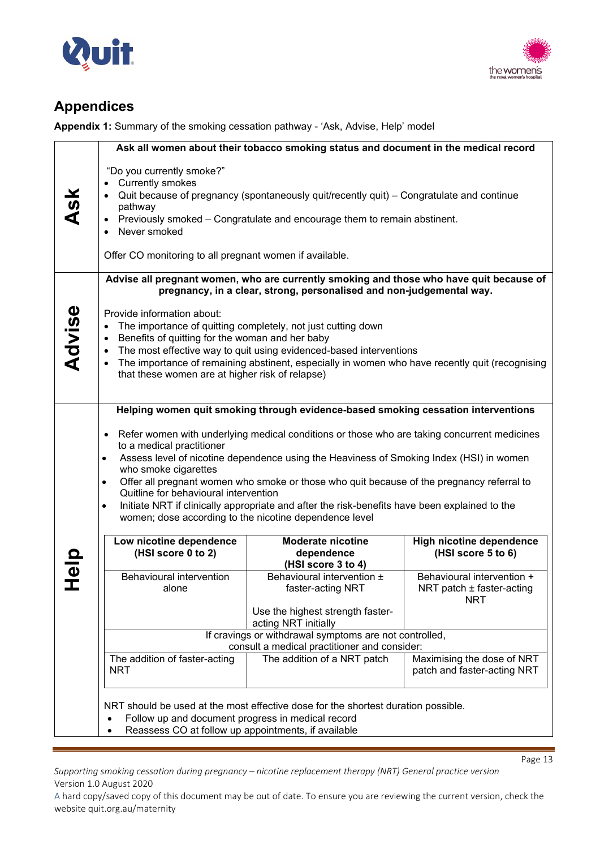



# **Appendices**

**Appendix 1:** Summary of the smoking cessation pathway - 'Ask, Advise, Help' model

|             |                                                                                                                                                                                                                                       | Ask all women about their tobacco smoking status and document in the medical record                                                                                                                                                  |                                                                           |
|-------------|---------------------------------------------------------------------------------------------------------------------------------------------------------------------------------------------------------------------------------------|--------------------------------------------------------------------------------------------------------------------------------------------------------------------------------------------------------------------------------------|---------------------------------------------------------------------------|
| <b>Ask</b>  | "Do you currently smoke?"<br>• Currently smokes<br>$\bullet$<br>pathway<br>$\bullet$<br>Never smoked<br>$\bullet$<br>Offer CO monitoring to all pregnant women if available.                                                          | Quit because of pregnancy (spontaneously quit/recently quit) – Congratulate and continue<br>Previously smoked - Congratulate and encourage them to remain abstinent.                                                                 |                                                                           |
|             |                                                                                                                                                                                                                                       | Advise all pregnant women, who are currently smoking and those who have quit because of<br>pregnancy, in a clear, strong, personalised and non-judgemental way.                                                                      |                                                                           |
| Advise      | Provide information about:<br>$\bullet$<br>Benefits of quitting for the woman and her baby<br>$\bullet$<br>$\bullet$<br>٠<br>that these women are at higher risk of relapse)                                                          | The importance of quitting completely, not just cutting down<br>The most effective way to quit using evidenced-based interventions<br>The importance of remaining abstinent, especially in women who have recently quit (recognising |                                                                           |
|             |                                                                                                                                                                                                                                       | Helping women quit smoking through evidence-based smoking cessation interventions                                                                                                                                                    |                                                                           |
|             | Refer women with underlying medical conditions or those who are taking concurrent medicines<br>$\bullet$<br>to a medical practitioner<br>Assess level of nicotine dependence using the Heaviness of Smoking Index (HSI) in women<br>٠ |                                                                                                                                                                                                                                      |                                                                           |
|             | who smoke cigarettes<br>Offer all pregnant women who smoke or those who quit because of the pregnancy referral to<br>٠                                                                                                                |                                                                                                                                                                                                                                      |                                                                           |
|             | Quitline for behavioural intervention<br>Initiate NRT if clinically appropriate and after the risk-benefits have been explained to the<br>$\bullet$<br>women; dose according to the nicotine dependence level                         |                                                                                                                                                                                                                                      |                                                                           |
| <b>Help</b> | Low nicotine dependence<br>(HSI score 0 to 2)                                                                                                                                                                                         | <b>Moderate nicotine</b><br>dependence<br>(HSI score 3 to 4)                                                                                                                                                                         | <b>High nicotine dependence</b><br>(HSI score 5 to 6)                     |
|             | Behavioural intervention<br>alone                                                                                                                                                                                                     | Behavioural intervention ±<br>faster-acting NRT                                                                                                                                                                                      | Behavioural intervention +<br>NRT patch $\pm$ faster-acting<br><b>NRT</b> |
|             |                                                                                                                                                                                                                                       | Use the highest strength faster-<br>acting NRT initially                                                                                                                                                                             |                                                                           |
|             | If cravings or withdrawal symptoms are not controlled,<br>consult a medical practitioner and consider:                                                                                                                                |                                                                                                                                                                                                                                      |                                                                           |
|             | The addition of faster-acting<br><b>NRT</b>                                                                                                                                                                                           | The addition of a NRT patch                                                                                                                                                                                                          | Maximising the dose of NRT<br>patch and faster-acting NRT                 |
|             | Follow up and document progress in medical record<br>Reassess CO at follow up appointments, if available                                                                                                                              | NRT should be used at the most effective dose for the shortest duration possible.                                                                                                                                                    |                                                                           |

*Supporting smoking cessation during pregnancy – nicotine replacement therapy (NRT) General practice version* Version 1.0 August 2020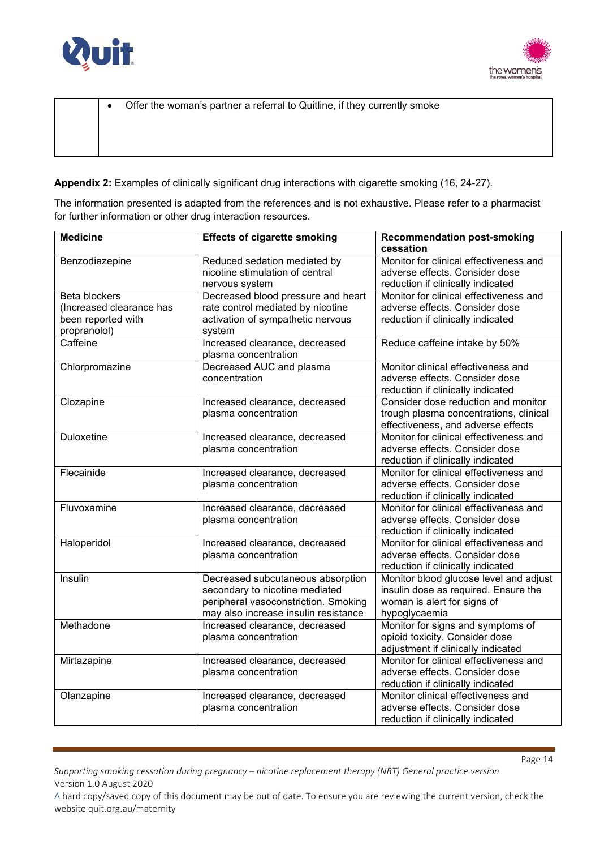



| $\bullet$ | Offer the woman's partner a referral to Quitline, if they currently smoke |
|-----------|---------------------------------------------------------------------------|
|           |                                                                           |
|           |                                                                           |

**Appendix 2:** Examples of clinically significant drug interactions with cigarette smoking (16, 24-27).

The information presented is adapted from the references and is not exhaustive. Please refer to a pharmacist for further information or other drug interaction resources.

| <b>Medicine</b>                           | <b>Effects of cigarette smoking</b>                                                                                                                 | <b>Recommendation post-smoking</b><br>cessation                                                                                |
|-------------------------------------------|-----------------------------------------------------------------------------------------------------------------------------------------------------|--------------------------------------------------------------------------------------------------------------------------------|
| Benzodiazepine                            | Reduced sedation mediated by<br>nicotine stimulation of central<br>nervous system                                                                   | Monitor for clinical effectiveness and<br>adverse effects. Consider dose<br>reduction if clinically indicated                  |
| Beta blockers<br>(Increased clearance has | Decreased blood pressure and heart<br>rate control mediated by nicotine                                                                             | Monitor for clinical effectiveness and<br>adverse effects. Consider dose                                                       |
| been reported with<br>propranolol)        | activation of sympathetic nervous<br>system                                                                                                         | reduction if clinically indicated                                                                                              |
| Caffeine                                  | Increased clearance, decreased<br>plasma concentration                                                                                              | Reduce caffeine intake by 50%                                                                                                  |
| Chlorpromazine                            | Decreased AUC and plasma<br>concentration                                                                                                           | Monitor clinical effectiveness and<br>adverse effects. Consider dose<br>reduction if clinically indicated                      |
| Clozapine                                 | Increased clearance, decreased<br>plasma concentration                                                                                              | Consider dose reduction and monitor<br>trough plasma concentrations, clinical<br>effectiveness, and adverse effects            |
| <b>Duloxetine</b>                         | Increased clearance, decreased<br>plasma concentration                                                                                              | Monitor for clinical effectiveness and<br>adverse effects. Consider dose<br>reduction if clinically indicated                  |
| Flecainide                                | Increased clearance, decreased<br>plasma concentration                                                                                              | Monitor for clinical effectiveness and<br>adverse effects. Consider dose<br>reduction if clinically indicated                  |
| Fluvoxamine                               | Increased clearance, decreased<br>plasma concentration                                                                                              | Monitor for clinical effectiveness and<br>adverse effects. Consider dose<br>reduction if clinically indicated                  |
| Haloperidol                               | Increased clearance, decreased<br>plasma concentration                                                                                              | Monitor for clinical effectiveness and<br>adverse effects. Consider dose<br>reduction if clinically indicated                  |
| Insulin                                   | Decreased subcutaneous absorption<br>secondary to nicotine mediated<br>peripheral vasoconstriction. Smoking<br>may also increase insulin resistance | Monitor blood glucose level and adjust<br>insulin dose as required. Ensure the<br>woman is alert for signs of<br>hypoglycaemia |
| Methadone                                 | Increased clearance, decreased<br>plasma concentration                                                                                              | Monitor for signs and symptoms of<br>opioid toxicity. Consider dose<br>adjustment if clinically indicated                      |
| Mirtazapine                               | Increased clearance, decreased<br>plasma concentration                                                                                              | Monitor for clinical effectiveness and<br>adverse effects. Consider dose<br>reduction if clinically indicated                  |
| Olanzapine                                | Increased clearance, decreased<br>plasma concentration                                                                                              | Monitor clinical effectiveness and<br>adverse effects. Consider dose<br>reduction if clinically indicated                      |

*Supporting smoking cessation during pregnancy – nicotine replacement therapy (NRT) General practice version* Version 1.0 August 2020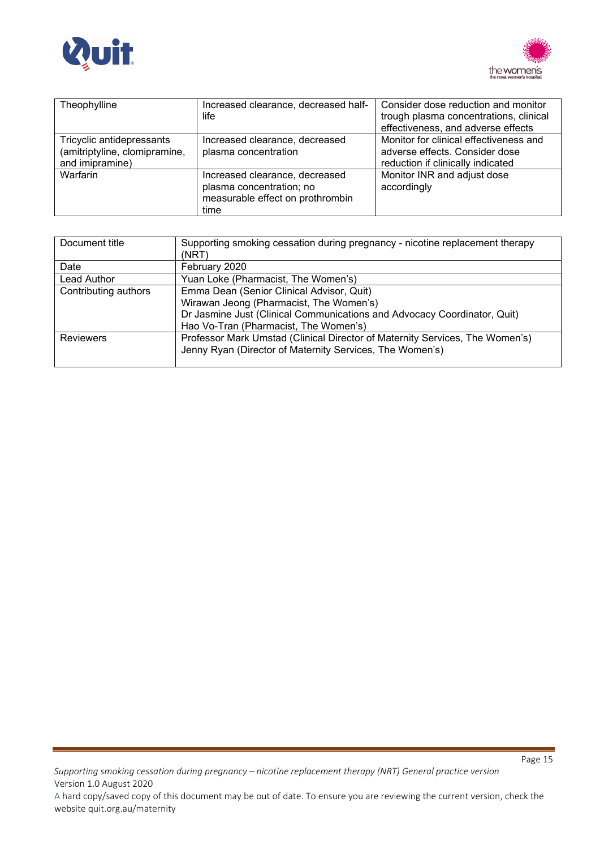



| Theophylline                  | Increased clearance, decreased half- | Consider dose reduction and monitor    |
|-------------------------------|--------------------------------------|----------------------------------------|
|                               | life                                 | trough plasma concentrations, clinical |
|                               |                                      | effectiveness, and adverse effects     |
| Tricyclic antidepressants     | Increased clearance, decreased       | Monitor for clinical effectiveness and |
| (amitriptyline, clomipramine, | plasma concentration                 | adverse effects. Consider dose         |
| and imipramine)               |                                      | reduction if clinically indicated      |
| Warfarin                      | Increased clearance, decreased       | Monitor INR and adjust dose            |
|                               | plasma concentration; no             | accordingly                            |
|                               | measurable effect on prothrombin     |                                        |
|                               | time                                 |                                        |

| Document title       | Supporting smoking cessation during pregnancy - nicotine replacement therapy<br>(NRT)                                                                                                                     |
|----------------------|-----------------------------------------------------------------------------------------------------------------------------------------------------------------------------------------------------------|
| Date                 | February 2020                                                                                                                                                                                             |
| Lead Author          | Yuan Loke (Pharmacist, The Women's)                                                                                                                                                                       |
| Contributing authors | Emma Dean (Senior Clinical Advisor, Quit)<br>Wirawan Jeong (Pharmacist, The Women's)<br>Dr Jasmine Just (Clinical Communications and Advocacy Coordinator, Quit)<br>Hao Vo-Tran (Pharmacist, The Women's) |
| <b>Reviewers</b>     | Professor Mark Umstad (Clinical Director of Maternity Services, The Women's)<br>Jenny Ryan (Director of Maternity Services, The Women's)                                                                  |